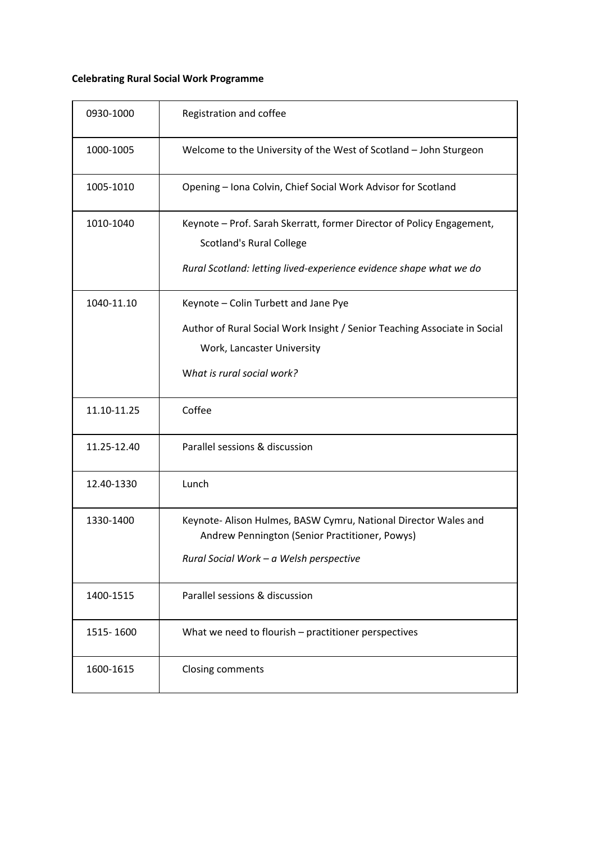# **Celebrating Rural Social Work Programme**

| 0930-1000   | Registration and coffee                                                                                                                                                        |
|-------------|--------------------------------------------------------------------------------------------------------------------------------------------------------------------------------|
| 1000-1005   | Welcome to the University of the West of Scotland - John Sturgeon                                                                                                              |
| 1005-1010   | Opening - Iona Colvin, Chief Social Work Advisor for Scotland                                                                                                                  |
| 1010-1040   | Keynote - Prof. Sarah Skerratt, former Director of Policy Engagement,<br><b>Scotland's Rural College</b><br>Rural Scotland: letting lived-experience evidence shape what we do |
| 1040-11.10  | Keynote - Colin Turbett and Jane Pye<br>Author of Rural Social Work Insight / Senior Teaching Associate in Social<br>Work, Lancaster University<br>What is rural social work?  |
| 11.10-11.25 | Coffee                                                                                                                                                                         |
| 11.25-12.40 | Parallel sessions & discussion                                                                                                                                                 |
| 12.40-1330  | Lunch                                                                                                                                                                          |
| 1330-1400   | Keynote- Alison Hulmes, BASW Cymru, National Director Wales and<br>Andrew Pennington (Senior Practitioner, Powys)<br>Rural Social Work - a Welsh perspective                   |
| 1400-1515   | Parallel sessions & discussion                                                                                                                                                 |
| 1515-1600   | What we need to flourish - practitioner perspectives                                                                                                                           |
| 1600-1615   | Closing comments                                                                                                                                                               |